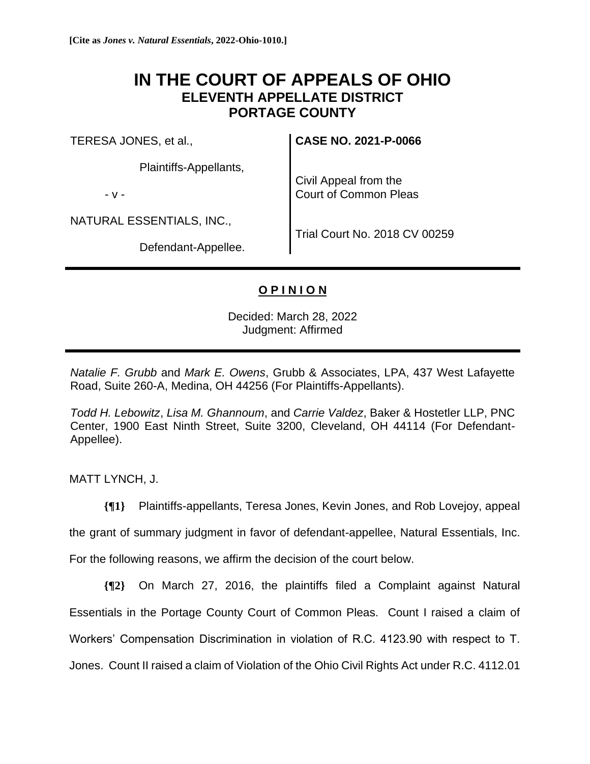## **IN THE COURT OF APPEALS OF OHIO ELEVENTH APPELLATE DISTRICT PORTAGE COUNTY**

TERESA JONES, et al.,

Plaintiffs-Appellants,

- v -

NATURAL ESSENTIALS, INC.,

Defendant-Appellee.

**CASE NO. 2021-P-0066**

Civil Appeal from the Court of Common Pleas

Trial Court No. 2018 CV 00259

## **O P I N I O N**

Decided: March 28, 2022 Judgment: Affirmed

*Natalie F. Grubb* and *Mark E. Owens*, Grubb & Associates, LPA, 437 West Lafayette Road, Suite 260-A, Medina, OH 44256 (For Plaintiffs-Appellants).

*Todd H. Lebowitz*, *Lisa M. Ghannoum*, and *Carrie Valdez*, Baker & Hostetler LLP, PNC Center, 1900 East Ninth Street, Suite 3200, Cleveland, OH 44114 (For Defendant-Appellee).

MATT LYNCH, J.

**{¶1}** Plaintiffs-appellants, Teresa Jones, Kevin Jones, and Rob Lovejoy, appeal

the grant of summary judgment in favor of defendant-appellee, Natural Essentials, Inc.

For the following reasons, we affirm the decision of the court below.

**{¶2}** On March 27, 2016, the plaintiffs filed a Complaint against Natural Essentials in the Portage County Court of Common Pleas. Count I raised a claim of Workers' Compensation Discrimination in violation of R.C. 4123.90 with respect to T. Jones. Count II raised a claim of Violation of the Ohio Civil Rights Act under R.C. 4112.01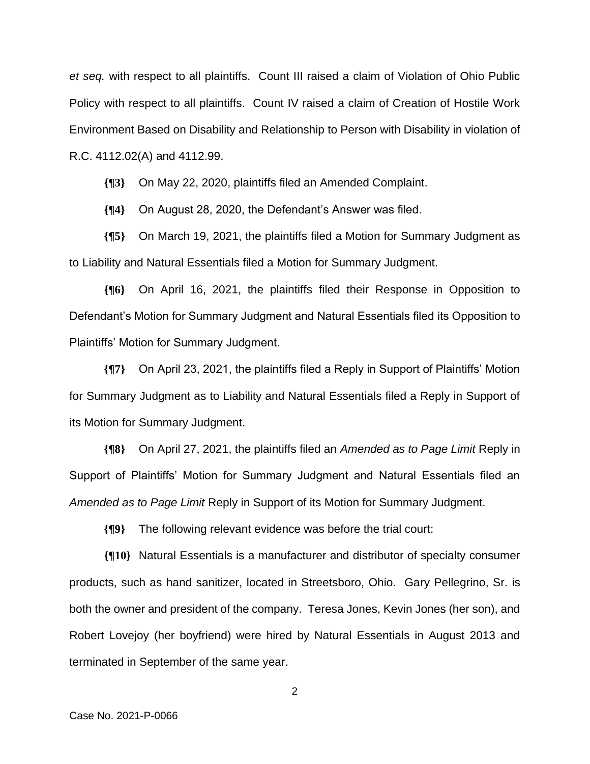*et seq.* with respect to all plaintiffs. Count III raised a claim of Violation of Ohio Public Policy with respect to all plaintiffs. Count IV raised a claim of Creation of Hostile Work Environment Based on Disability and Relationship to Person with Disability in violation of R.C. 4112.02(A) and 4112.99.

**{¶3}** On May 22, 2020, plaintiffs filed an Amended Complaint.

**{¶4}** On August 28, 2020, the Defendant's Answer was filed.

**{¶5}** On March 19, 2021, the plaintiffs filed a Motion for Summary Judgment as to Liability and Natural Essentials filed a Motion for Summary Judgment.

**{¶6}** On April 16, 2021, the plaintiffs filed their Response in Opposition to Defendant's Motion for Summary Judgment and Natural Essentials filed its Opposition to Plaintiffs' Motion for Summary Judgment.

**{¶7}** On April 23, 2021, the plaintiffs filed a Reply in Support of Plaintiffs' Motion for Summary Judgment as to Liability and Natural Essentials filed a Reply in Support of its Motion for Summary Judgment.

**{¶8}** On April 27, 2021, the plaintiffs filed an *Amended as to Page Limit* Reply in Support of Plaintiffs' Motion for Summary Judgment and Natural Essentials filed an *Amended as to Page Limit* Reply in Support of its Motion for Summary Judgment.

**{¶9}** The following relevant evidence was before the trial court:

**{¶10}** Natural Essentials is a manufacturer and distributor of specialty consumer products, such as hand sanitizer, located in Streetsboro, Ohio. Gary Pellegrino, Sr. is both the owner and president of the company. Teresa Jones, Kevin Jones (her son), and Robert Lovejoy (her boyfriend) were hired by Natural Essentials in August 2013 and terminated in September of the same year.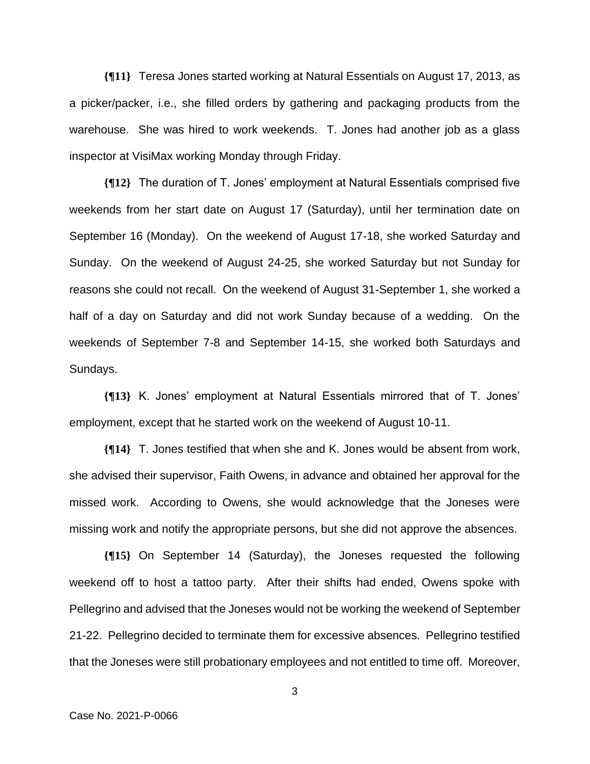**{¶11}** Teresa Jones started working at Natural Essentials on August 17, 2013, as a picker/packer, i.e., she filled orders by gathering and packaging products from the warehouse. She was hired to work weekends. T. Jones had another job as a glass inspector at VisiMax working Monday through Friday.

**{¶12}** The duration of T. Jones' employment at Natural Essentials comprised five weekends from her start date on August 17 (Saturday), until her termination date on September 16 (Monday). On the weekend of August 17-18, she worked Saturday and Sunday. On the weekend of August 24-25, she worked Saturday but not Sunday for reasons she could not recall. On the weekend of August 31-September 1, she worked a half of a day on Saturday and did not work Sunday because of a wedding. On the weekends of September 7-8 and September 14-15, she worked both Saturdays and Sundays.

**{¶13}** K. Jones' employment at Natural Essentials mirrored that of T. Jones' employment, except that he started work on the weekend of August 10-11.

**{¶14}** T. Jones testified that when she and K. Jones would be absent from work, she advised their supervisor, Faith Owens, in advance and obtained her approval for the missed work. According to Owens, she would acknowledge that the Joneses were missing work and notify the appropriate persons, but she did not approve the absences.

**{¶15}** On September 14 (Saturday), the Joneses requested the following weekend off to host a tattoo party. After their shifts had ended, Owens spoke with Pellegrino and advised that the Joneses would not be working the weekend of September 21-22. Pellegrino decided to terminate them for excessive absences. Pellegrino testified that the Joneses were still probationary employees and not entitled to time off. Moreover,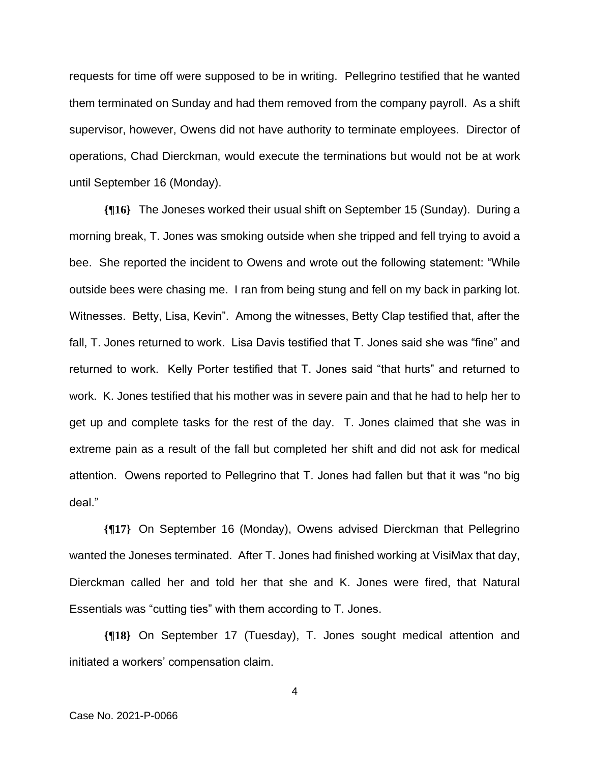requests for time off were supposed to be in writing. Pellegrino testified that he wanted them terminated on Sunday and had them removed from the company payroll. As a shift supervisor, however, Owens did not have authority to terminate employees. Director of operations, Chad Dierckman, would execute the terminations but would not be at work until September 16 (Monday).

**{¶16}** The Joneses worked their usual shift on September 15 (Sunday). During a morning break, T. Jones was smoking outside when she tripped and fell trying to avoid a bee. She reported the incident to Owens and wrote out the following statement: "While outside bees were chasing me. I ran from being stung and fell on my back in parking lot. Witnesses. Betty, Lisa, Kevin". Among the witnesses, Betty Clap testified that, after the fall, T. Jones returned to work. Lisa Davis testified that T. Jones said she was "fine" and returned to work. Kelly Porter testified that T. Jones said "that hurts" and returned to work. K. Jones testified that his mother was in severe pain and that he had to help her to get up and complete tasks for the rest of the day. T. Jones claimed that she was in extreme pain as a result of the fall but completed her shift and did not ask for medical attention. Owens reported to Pellegrino that T. Jones had fallen but that it was "no big deal."

**{¶17}** On September 16 (Monday), Owens advised Dierckman that Pellegrino wanted the Joneses terminated. After T. Jones had finished working at VisiMax that day, Dierckman called her and told her that she and K. Jones were fired, that Natural Essentials was "cutting ties" with them according to T. Jones.

**{¶18}** On September 17 (Tuesday), T. Jones sought medical attention and initiated a workers' compensation claim.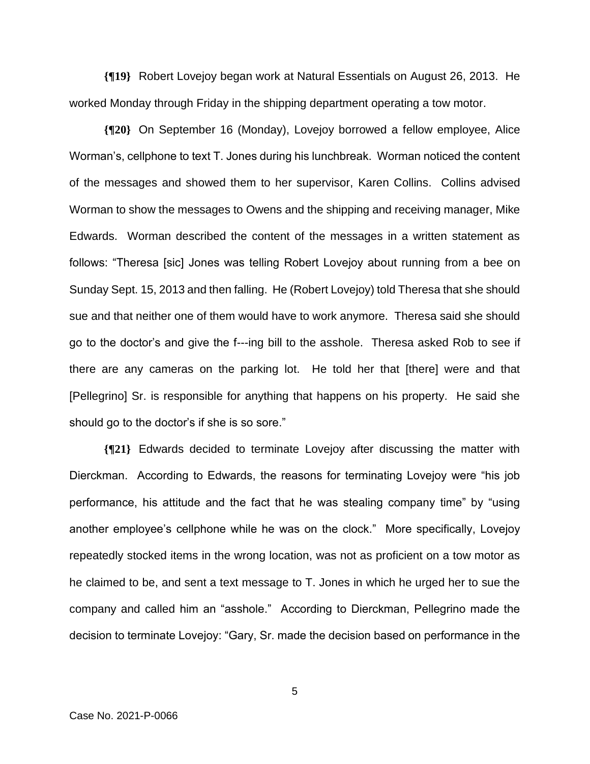**{¶19}** Robert Lovejoy began work at Natural Essentials on August 26, 2013. He worked Monday through Friday in the shipping department operating a tow motor.

**{¶20}** On September 16 (Monday), Lovejoy borrowed a fellow employee, Alice Worman's, cellphone to text T. Jones during his lunchbreak. Worman noticed the content of the messages and showed them to her supervisor, Karen Collins. Collins advised Worman to show the messages to Owens and the shipping and receiving manager, Mike Edwards. Worman described the content of the messages in a written statement as follows: "Theresa [sic] Jones was telling Robert Lovejoy about running from a bee on Sunday Sept. 15, 2013 and then falling. He (Robert Lovejoy) told Theresa that she should sue and that neither one of them would have to work anymore. Theresa said she should go to the doctor's and give the f---ing bill to the asshole. Theresa asked Rob to see if there are any cameras on the parking lot. He told her that [there] were and that [Pellegrino] Sr. is responsible for anything that happens on his property. He said she should go to the doctor's if she is so sore."

**{¶21}** Edwards decided to terminate Lovejoy after discussing the matter with Dierckman. According to Edwards, the reasons for terminating Lovejoy were "his job performance, his attitude and the fact that he was stealing company time" by "using another employee's cellphone while he was on the clock." More specifically, Lovejoy repeatedly stocked items in the wrong location, was not as proficient on a tow motor as he claimed to be, and sent a text message to T. Jones in which he urged her to sue the company and called him an "asshole." According to Dierckman, Pellegrino made the decision to terminate Lovejoy: "Gary, Sr. made the decision based on performance in the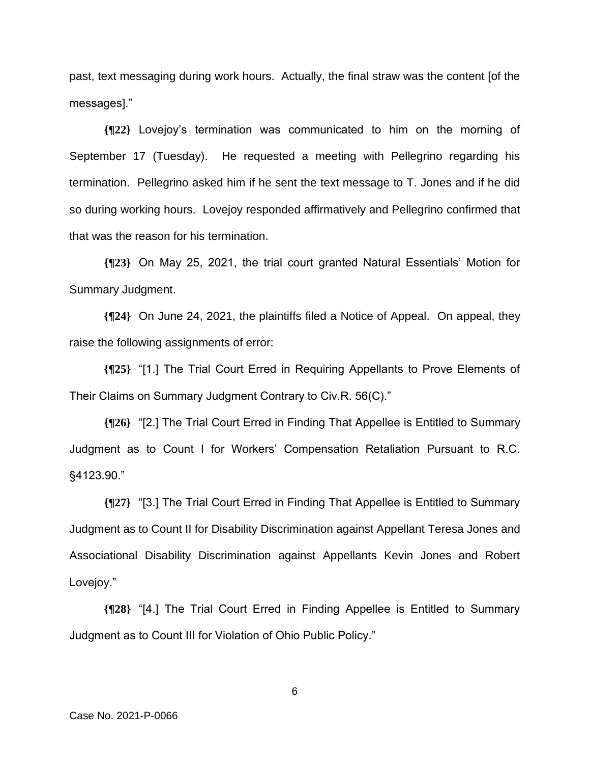past, text messaging during work hours. Actually, the final straw was the content [of the messages]."

**{¶22}** Lovejoy's termination was communicated to him on the morning of September 17 (Tuesday). He requested a meeting with Pellegrino regarding his termination. Pellegrino asked him if he sent the text message to T. Jones and if he did so during working hours. Lovejoy responded affirmatively and Pellegrino confirmed that that was the reason for his termination.

**{¶23}** On May 25, 2021, the trial court granted Natural Essentials' Motion for Summary Judgment.

**{¶24}** On June 24, 2021, the plaintiffs filed a Notice of Appeal. On appeal, they raise the following assignments of error:

**{¶25}** "[1.] The Trial Court Erred in Requiring Appellants to Prove Elements of Their Claims on Summary Judgment Contrary to Civ.R. 56(C)."

**{¶26}** "[2.] The Trial Court Erred in Finding That Appellee is Entitled to Summary Judgment as to Count I for Workers' Compensation Retaliation Pursuant to R.C. §4123.90."

**{¶27}** "[3.] The Trial Court Erred in Finding That Appellee is Entitled to Summary Judgment as to Count II for Disability Discrimination against Appellant Teresa Jones and Associational Disability Discrimination against Appellants Kevin Jones and Robert Lovejoy."

**{¶28}** "[4.] The Trial Court Erred in Finding Appellee is Entitled to Summary Judgment as to Count III for Violation of Ohio Public Policy."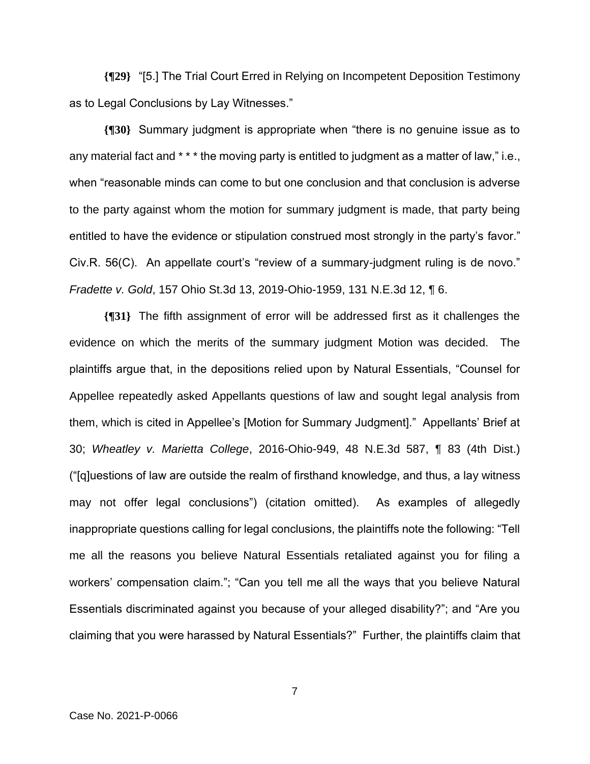**{¶29}** "[5.] The Trial Court Erred in Relying on Incompetent Deposition Testimony as to Legal Conclusions by Lay Witnesses."

**{¶30}** Summary judgment is appropriate when "there is no genuine issue as to any material fact and \* \* \* the moving party is entitled to judgment as a matter of law," i.e., when "reasonable minds can come to but one conclusion and that conclusion is adverse to the party against whom the motion for summary judgment is made, that party being entitled to have the evidence or stipulation construed most strongly in the party's favor." Civ.R. 56(C). An appellate court's "review of a summary-judgment ruling is de novo." *Fradette v. Gold*, 157 Ohio St.3d 13, 2019-Ohio-1959, 131 N.E.3d 12, ¶ 6.

**{¶31}** The fifth assignment of error will be addressed first as it challenges the evidence on which the merits of the summary judgment Motion was decided. The plaintiffs argue that, in the depositions relied upon by Natural Essentials, "Counsel for Appellee repeatedly asked Appellants questions of law and sought legal analysis from them, which is cited in Appellee's [Motion for Summary Judgment]." Appellants' Brief at 30; *Wheatley v. Marietta College*, 2016-Ohio-949, 48 N.E.3d 587, ¶ 83 (4th Dist.) ("[q]uestions of law are outside the realm of firsthand knowledge, and thus, a lay witness may not offer legal conclusions") (citation omitted). As examples of allegedly inappropriate questions calling for legal conclusions, the plaintiffs note the following: "Tell me all the reasons you believe Natural Essentials retaliated against you for filing a workers' compensation claim."; "Can you tell me all the ways that you believe Natural Essentials discriminated against you because of your alleged disability?"; and "Are you claiming that you were harassed by Natural Essentials?" Further, the plaintiffs claim that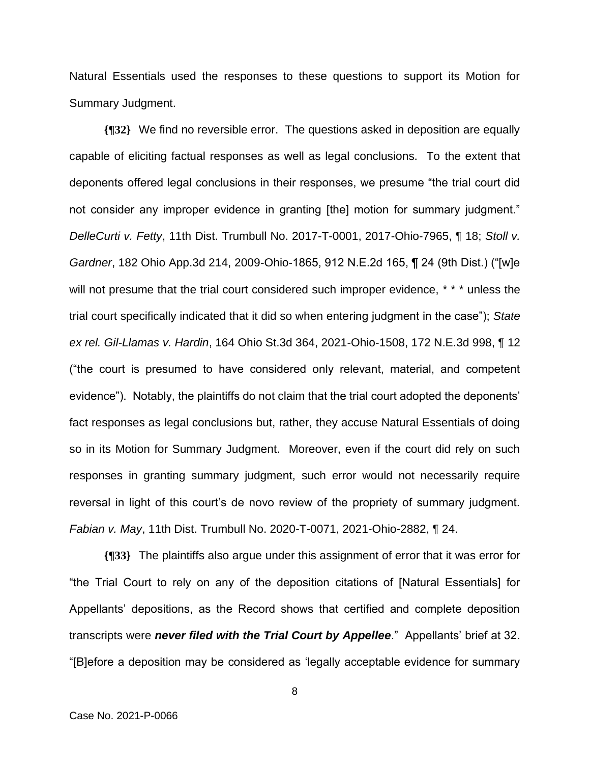Natural Essentials used the responses to these questions to support its Motion for Summary Judgment.

**{¶32}** We find no reversible error. The questions asked in deposition are equally capable of eliciting factual responses as well as legal conclusions. To the extent that deponents offered legal conclusions in their responses, we presume "the trial court did not consider any improper evidence in granting [the] motion for summary judgment." *DelleCurti v. Fetty*, 11th Dist. Trumbull No. 2017-T-0001, 2017-Ohio-7965, ¶ 18; *Stoll v. Gardner*, 182 Ohio App.3d 214, 2009-Ohio-1865, 912 N.E.2d 165, ¶ 24 (9th Dist.) ("[w]e will not presume that the trial court considered such improper evidence, \* \* \* unless the trial court specifically indicated that it did so when entering judgment in the case"); *State ex rel. Gil-Llamas v. Hardin*, 164 Ohio St.3d 364, 2021-Ohio-1508, 172 N.E.3d 998, ¶ 12 ("the court is presumed to have considered only relevant, material, and competent evidence"). Notably, the plaintiffs do not claim that the trial court adopted the deponents' fact responses as legal conclusions but, rather, they accuse Natural Essentials of doing so in its Motion for Summary Judgment. Moreover, even if the court did rely on such responses in granting summary judgment, such error would not necessarily require reversal in light of this court's de novo review of the propriety of summary judgment. *Fabian v. May*, 11th Dist. Trumbull No. 2020-T-0071, 2021-Ohio-2882, ¶ 24.

**{¶33}** The plaintiffs also argue under this assignment of error that it was error for "the Trial Court to rely on any of the deposition citations of [Natural Essentials] for Appellants' depositions, as the Record shows that certified and complete deposition transcripts were *never filed with the Trial Court by Appellee*." Appellants' brief at 32. "[B]efore a deposition may be considered as 'legally acceptable evidence for summary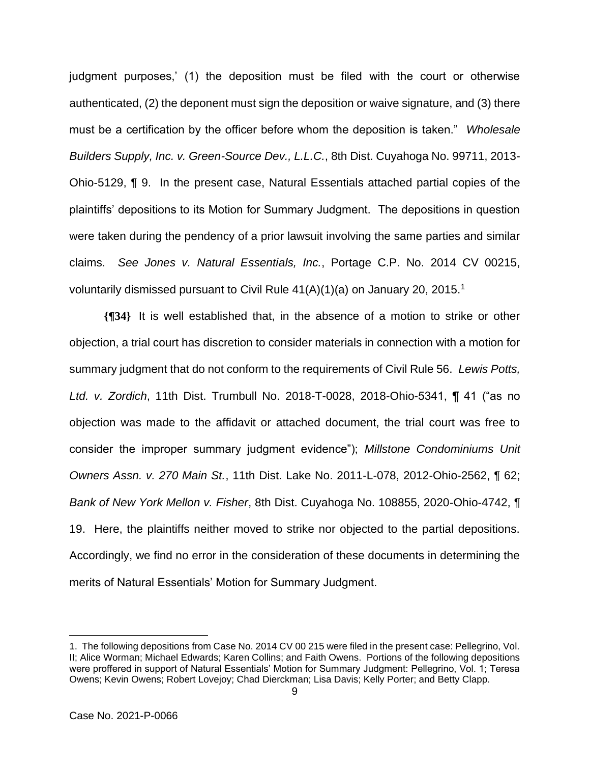judgment purposes,' (1) the deposition must be filed with the court or otherwise authenticated, (2) the deponent must sign the deposition or waive signature, and (3) there must be a certification by the officer before whom the deposition is taken." *Wholesale Builders Supply, Inc. v. Green-Source Dev., L.L.C.*, 8th Dist. Cuyahoga No. 99711, 2013- Ohio-5129, ¶ 9. In the present case, Natural Essentials attached partial copies of the plaintiffs' depositions to its Motion for Summary Judgment. The depositions in question were taken during the pendency of a prior lawsuit involving the same parties and similar claims. *See Jones v. Natural Essentials, Inc.*, Portage C.P. No. 2014 CV 00215, voluntarily dismissed pursuant to Civil Rule  $41(A)(1)(a)$  on January 20, 2015.<sup>1</sup>

**{¶34}** It is well established that, in the absence of a motion to strike or other objection, a trial court has discretion to consider materials in connection with a motion for summary judgment that do not conform to the requirements of Civil Rule 56. *Lewis Potts, Ltd. v. Zordich*, 11th Dist. Trumbull No. 2018-T-0028, 2018-Ohio-5341, ¶ 41 ("as no objection was made to the affidavit or attached document, the trial court was free to consider the improper summary judgment evidence"); *Millstone Condominiums Unit Owners Assn. v. 270 Main St.*, 11th Dist. Lake No. 2011-L-078, 2012-Ohio-2562, ¶ 62; *Bank of New York Mellon v. Fisher*, 8th Dist. Cuyahoga No. 108855, 2020-Ohio-4742, ¶ 19. Here, the plaintiffs neither moved to strike nor objected to the partial depositions. Accordingly, we find no error in the consideration of these documents in determining the merits of Natural Essentials' Motion for Summary Judgment.

<sup>1.</sup> The following depositions from Case No. 2014 CV 00 215 were filed in the present case: Pellegrino, Vol. II; Alice Worman; Michael Edwards; Karen Collins; and Faith Owens. Portions of the following depositions were proffered in support of Natural Essentials' Motion for Summary Judgment: Pellegrino, Vol. 1; Teresa Owens; Kevin Owens; Robert Lovejoy; Chad Dierckman; Lisa Davis; Kelly Porter; and Betty Clapp.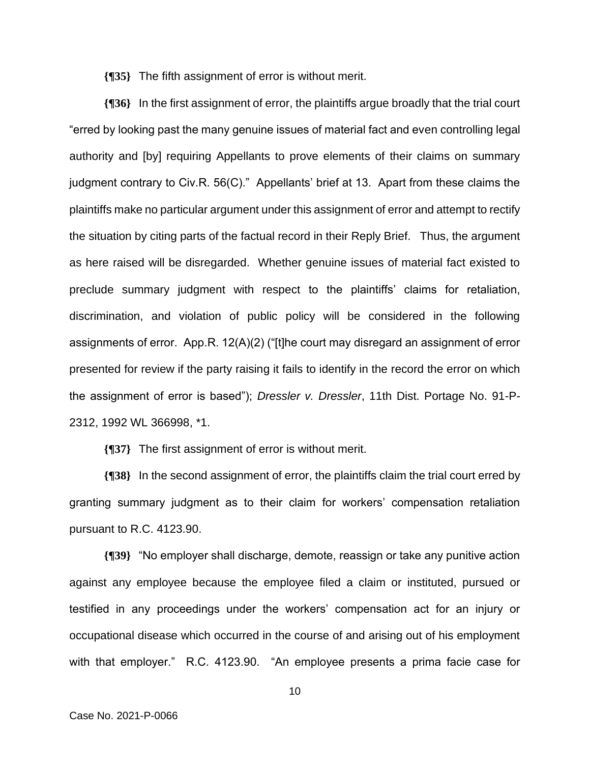**{¶35}** The fifth assignment of error is without merit.

**{¶36}** In the first assignment of error, the plaintiffs argue broadly that the trial court "erred by looking past the many genuine issues of material fact and even controlling legal authority and [by] requiring Appellants to prove elements of their claims on summary judgment contrary to Civ.R. 56(C)." Appellants' brief at 13. Apart from these claims the plaintiffs make no particular argument under this assignment of error and attempt to rectify the situation by citing parts of the factual record in their Reply Brief. Thus, the argument as here raised will be disregarded. Whether genuine issues of material fact existed to preclude summary judgment with respect to the plaintiffs' claims for retaliation, discrimination, and violation of public policy will be considered in the following assignments of error. App.R. 12(A)(2) ("[t]he court may disregard an assignment of error presented for review if the party raising it fails to identify in the record the error on which the assignment of error is based"); *Dressler v. Dressler*, 11th Dist. Portage No. 91-P-2312, 1992 WL 366998, \*1.

**{¶37}** The first assignment of error is without merit.

**{¶38}** In the second assignment of error, the plaintiffs claim the trial court erred by granting summary judgment as to their claim for workers' compensation retaliation pursuant to R.C. 4123.90.

**{¶39}** "No employer shall discharge, demote, reassign or take any punitive action against any employee because the employee filed a claim or instituted, pursued or testified in any proceedings under the workers' compensation act for an injury or occupational disease which occurred in the course of and arising out of his employment with that employer." R.C. 4123.90. "An employee presents a prima facie case for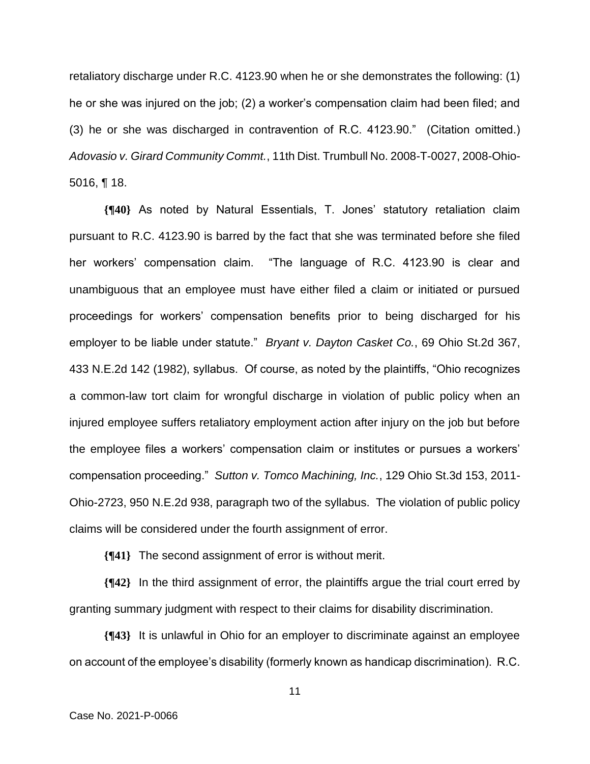retaliatory discharge under R.C. 4123.90 when he or she demonstrates the following: (1) he or she was injured on the job; (2) a worker's compensation claim had been filed; and (3) he or she was discharged in contravention of R.C. 4123.90." (Citation omitted.) *Adovasio v. Girard Community Commt.*, 11th Dist. Trumbull No. 2008-T-0027, 2008-Ohio-5016, ¶ 18.

**{¶40}** As noted by Natural Essentials, T. Jones' statutory retaliation claim pursuant to R.C. 4123.90 is barred by the fact that she was terminated before she filed her workers' compensation claim. "The language of R.C. 4123.90 is clear and unambiguous that an employee must have either filed a claim or initiated or pursued proceedings for workers' compensation benefits prior to being discharged for his employer to be liable under statute." *Bryant v. Dayton Casket Co.*, 69 Ohio St.2d 367, 433 N.E.2d 142 (1982), syllabus. Of course, as noted by the plaintiffs, "Ohio recognizes a common-law tort claim for wrongful discharge in violation of public policy when an injured employee suffers retaliatory employment action after injury on the job but before the employee files a workers' compensation claim or institutes or pursues a workers' compensation proceeding." *Sutton v. Tomco Machining, Inc.*, 129 Ohio St.3d 153, 2011- Ohio-2723, 950 N.E.2d 938, paragraph two of the syllabus. The violation of public policy claims will be considered under the fourth assignment of error.

**{¶41}** The second assignment of error is without merit.

**{¶42}** In the third assignment of error, the plaintiffs argue the trial court erred by granting summary judgment with respect to their claims for disability discrimination.

**{¶43}** It is unlawful in Ohio for an employer to discriminate against an employee on account of the employee's disability (formerly known as handicap discrimination). R.C.

$$
\mathbf{11} \\
$$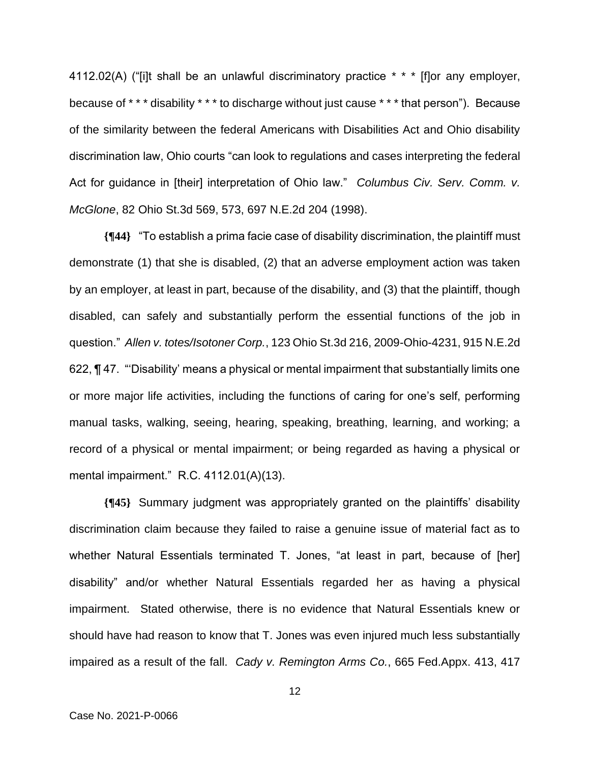4112.02(A) ("[i]t shall be an unlawful discriminatory practice \* \* \* [f]or any employer, because of \* \* \* disability \* \* \* to discharge without just cause \* \* \* that person"). Because of the similarity between the federal Americans with Disabilities Act and Ohio disability discrimination law, Ohio courts "can look to regulations and cases interpreting the federal Act for guidance in [their] interpretation of Ohio law." *Columbus Civ. Serv. Comm. v. McGlone*, 82 Ohio St.3d 569, 573, 697 N.E.2d 204 (1998).

**{¶44}** "To establish a prima facie case of disability discrimination, the plaintiff must demonstrate (1) that she is disabled, (2) that an adverse employment action was taken by an employer, at least in part, because of the disability, and (3) that the plaintiff, though disabled, can safely and substantially perform the essential functions of the job in question." *Allen v. totes/Isotoner Corp.*, 123 Ohio St.3d 216, 2009-Ohio-4231, 915 N.E.2d 622, ¶ 47. "'Disability' means a physical or mental impairment that substantially limits one or more major life activities, including the functions of caring for one's self, performing manual tasks, walking, seeing, hearing, speaking, breathing, learning, and working; a record of a physical or mental impairment; or being regarded as having a physical or mental impairment." R.C. 4112.01(A)(13).

**{¶45}** Summary judgment was appropriately granted on the plaintiffs' disability discrimination claim because they failed to raise a genuine issue of material fact as to whether Natural Essentials terminated T. Jones, "at least in part, because of [her] disability" and/or whether Natural Essentials regarded her as having a physical impairment. Stated otherwise, there is no evidence that Natural Essentials knew or should have had reason to know that T. Jones was even injured much less substantially impaired as a result of the fall. *Cady v. Remington Arms Co.*, 665 Fed.Appx. 413, 417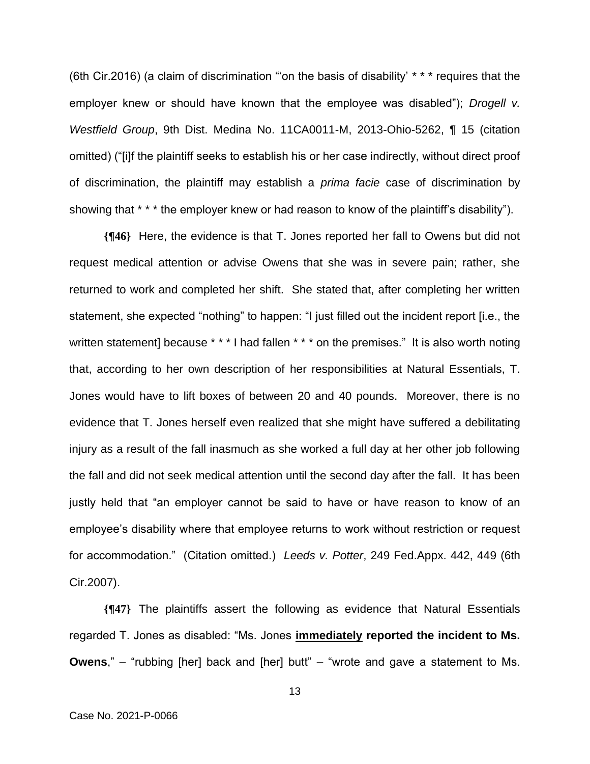(6th Cir.2016) (a claim of discrimination "'on the basis of disability' \* \* \* requires that the employer knew or should have known that the employee was disabled"); *Drogell v. Westfield Group*, 9th Dist. Medina No. 11CA0011-M, 2013-Ohio-5262, ¶ 15 (citation omitted) ("[i]f the plaintiff seeks to establish his or her case indirectly, without direct proof of discrimination, the plaintiff may establish a *prima facie* case of discrimination by showing that \* \* \* the employer knew or had reason to know of the plaintiff's disability").

**{¶46}** Here, the evidence is that T. Jones reported her fall to Owens but did not request medical attention or advise Owens that she was in severe pain; rather, she returned to work and completed her shift. She stated that, after completing her written statement, she expected "nothing" to happen: "I just filled out the incident report [i.e., the written statement] because \* \* \* I had fallen \* \* \* on the premises." It is also worth noting that, according to her own description of her responsibilities at Natural Essentials, T. Jones would have to lift boxes of between 20 and 40 pounds. Moreover, there is no evidence that T. Jones herself even realized that she might have suffered a debilitating injury as a result of the fall inasmuch as she worked a full day at her other job following the fall and did not seek medical attention until the second day after the fall. It has been justly held that "an employer cannot be said to have or have reason to know of an employee's disability where that employee returns to work without restriction or request for accommodation." (Citation omitted.) *Leeds v. Potter*, 249 Fed.Appx. 442, 449 (6th Cir.2007).

**{¶47}** The plaintiffs assert the following as evidence that Natural Essentials regarded T. Jones as disabled: "Ms. Jones **immediately reported the incident to Ms. Owens**," – "rubbing [her] back and [her] butt" – "wrote and gave a statement to Ms.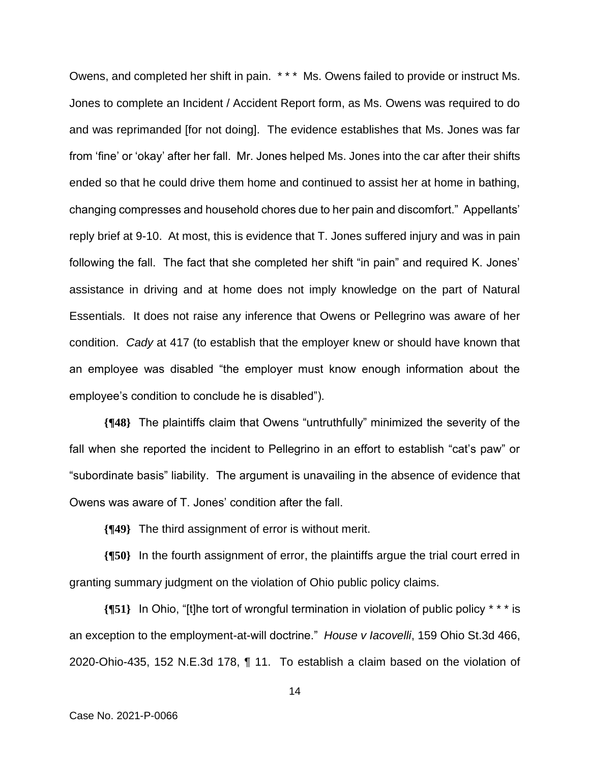Owens, and completed her shift in pain. \* \* \* Ms. Owens failed to provide or instruct Ms. Jones to complete an Incident / Accident Report form, as Ms. Owens was required to do and was reprimanded [for not doing]. The evidence establishes that Ms. Jones was far from 'fine' or 'okay' after her fall. Mr. Jones helped Ms. Jones into the car after their shifts ended so that he could drive them home and continued to assist her at home in bathing, changing compresses and household chores due to her pain and discomfort." Appellants' reply brief at 9-10. At most, this is evidence that T. Jones suffered injury and was in pain following the fall. The fact that she completed her shift "in pain" and required K. Jones' assistance in driving and at home does not imply knowledge on the part of Natural Essentials. It does not raise any inference that Owens or Pellegrino was aware of her condition. *Cady* at 417 (to establish that the employer knew or should have known that an employee was disabled "the employer must know enough information about the employee's condition to conclude he is disabled").

**{¶48}** The plaintiffs claim that Owens "untruthfully" minimized the severity of the fall when she reported the incident to Pellegrino in an effort to establish "cat's paw" or "subordinate basis" liability. The argument is unavailing in the absence of evidence that Owens was aware of T. Jones' condition after the fall.

**{¶49}** The third assignment of error is without merit.

**{¶50}** In the fourth assignment of error, the plaintiffs argue the trial court erred in granting summary judgment on the violation of Ohio public policy claims.

**{¶51}** In Ohio, "[t]he tort of wrongful termination in violation of public policy \* \* \* is an exception to the employment-at-will doctrine." *House v Iacovelli*, 159 Ohio St.3d 466, 2020-Ohio-435, 152 N.E.3d 178, ¶ 11. To establish a claim based on the violation of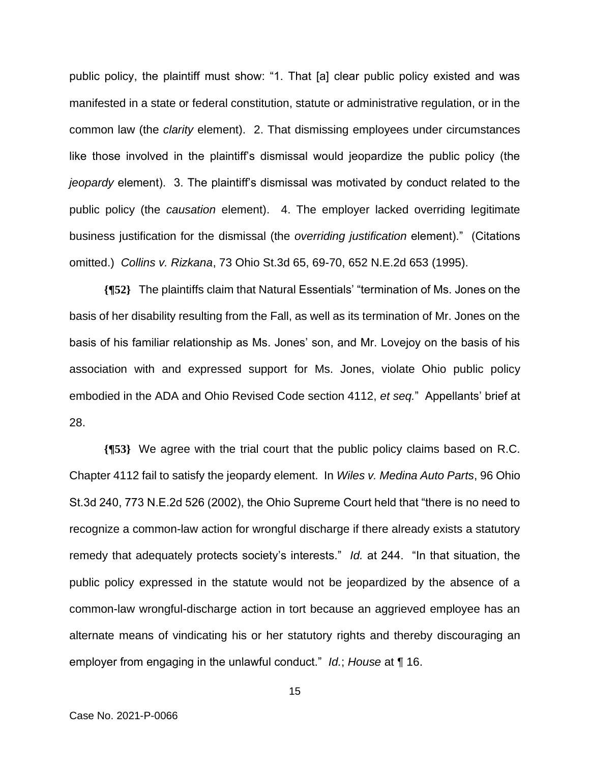public policy, the plaintiff must show: "1. That [a] clear public policy existed and was manifested in a state or federal constitution, statute or administrative regulation, or in the common law (the *clarity* element). 2. That dismissing employees under circumstances like those involved in the plaintiff's dismissal would jeopardize the public policy (the *jeopardy* element). 3. The plaintiff's dismissal was motivated by conduct related to the public policy (the *causation* element). 4. The employer lacked overriding legitimate business justification for the dismissal (the *overriding justification* element)." (Citations omitted.) *Collins v. Rizkana*, 73 Ohio St.3d 65, 69-70, 652 N.E.2d 653 (1995).

**{¶52}** The plaintiffs claim that Natural Essentials' "termination of Ms. Jones on the basis of her disability resulting from the Fall, as well as its termination of Mr. Jones on the basis of his familiar relationship as Ms. Jones' son, and Mr. Lovejoy on the basis of his association with and expressed support for Ms. Jones, violate Ohio public policy embodied in the ADA and Ohio Revised Code section 4112, *et seq.*" Appellants' brief at 28.

**{¶53}** We agree with the trial court that the public policy claims based on R.C. Chapter 4112 fail to satisfy the jeopardy element. In *Wiles v. Medina Auto Parts*, 96 Ohio St.3d 240, 773 N.E.2d 526 (2002), the Ohio Supreme Court held that "there is no need to recognize a common-law action for wrongful discharge if there already exists a statutory remedy that adequately protects society's interests." *Id.* at 244. "In that situation, the public policy expressed in the statute would not be jeopardized by the absence of a common-law wrongful-discharge action in tort because an aggrieved employee has an alternate means of vindicating his or her statutory rights and thereby discouraging an employer from engaging in the unlawful conduct." *Id.*; *House* at ¶ 16.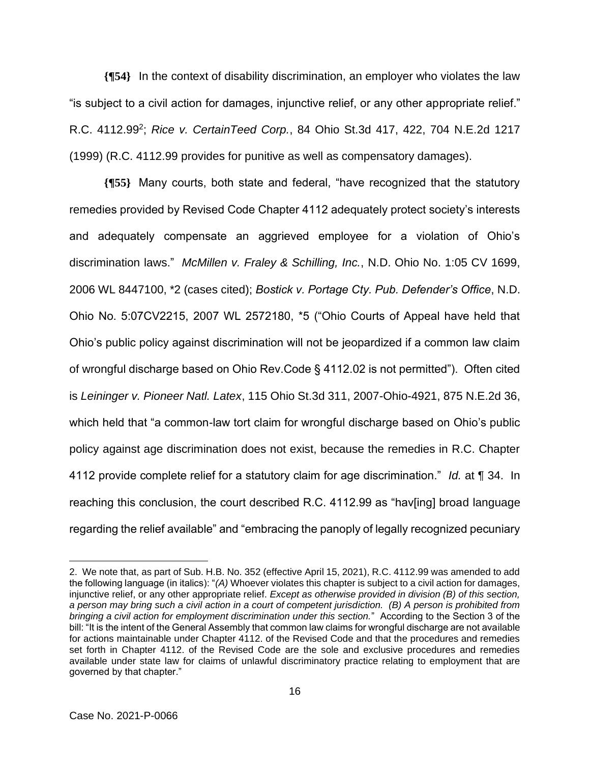**{¶54}** In the context of disability discrimination, an employer who violates the law "is subject to a civil action for damages, injunctive relief, or any other appropriate relief." R.C. 4112.99<sup>2</sup> ; *Rice v. CertainTeed Corp.*, 84 Ohio St.3d 417, 422, 704 N.E.2d 1217 (1999) (R.C. 4112.99 provides for punitive as well as compensatory damages).

**{¶55}** Many courts, both state and federal, "have recognized that the statutory remedies provided by Revised Code Chapter 4112 adequately protect society's interests and adequately compensate an aggrieved employee for a violation of Ohio's discrimination laws." *McMillen v. Fraley & Schilling, Inc.*, N.D. Ohio No. 1:05 CV 1699, 2006 WL 8447100, \*2 (cases cited); *Bostick v. Portage Cty. Pub. Defender's Office*, N.D. Ohio No. 5:07CV2215, 2007 WL 2572180, \*5 ("Ohio Courts of Appeal have held that Ohio's public policy against discrimination will not be jeopardized if a common law claim of wrongful discharge based on Ohio Rev.Code § 4112.02 is not permitted"). Often cited is *Leininger v. Pioneer Natl. Latex*, 115 Ohio St.3d 311, 2007-Ohio-4921, 875 N.E.2d 36, which held that "a common-law tort claim for wrongful discharge based on Ohio's public policy against age discrimination does not exist, because the remedies in R.C. Chapter 4112 provide complete relief for a statutory claim for age discrimination." *Id.* at ¶ 34. In reaching this conclusion, the court described R.C. 4112.99 as "hav[ing] broad language regarding the relief available" and "embracing the panoply of legally recognized pecuniary

<sup>2.</sup> We note that, as part of Sub. H.B. No. 352 (effective April 15, 2021), R.C. 4112.99 was amended to add the following language (in italics): "*(A)* Whoever violates this chapter is subject to a civil action for damages, injunctive relief, or any other appropriate relief. *Except as otherwise provided in division (B) of this section, a person may bring such a civil action in a court of competent jurisdiction. (B) A person is prohibited from bringing a civil action for employment discrimination under this section.*" According to the Section 3 of the bill: "It is the intent of the General Assembly that common law claims for wrongful discharge are not available for actions maintainable under Chapter 4112. of the Revised Code and that the procedures and remedies set forth in Chapter 4112. of the Revised Code are the sole and exclusive procedures and remedies available under state law for claims of unlawful discriminatory practice relating to employment that are governed by that chapter."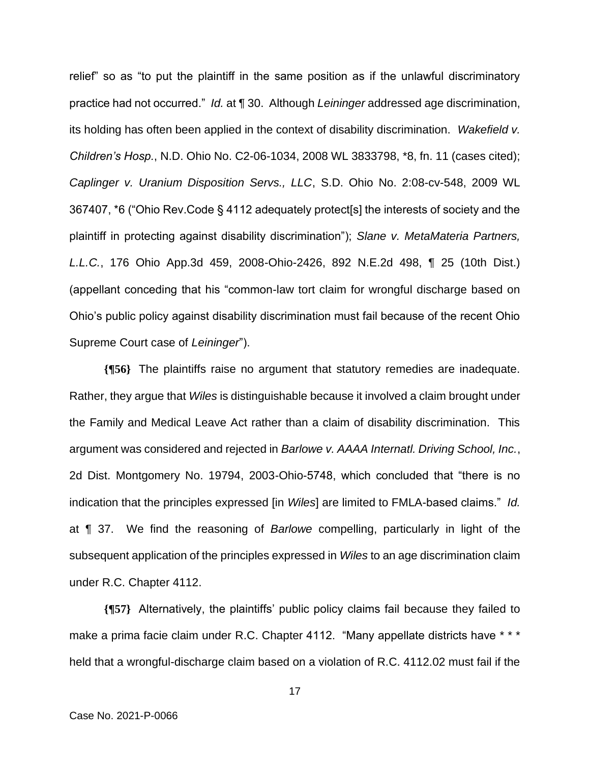relief" so as "to put the plaintiff in the same position as if the unlawful discriminatory practice had not occurred." *Id.* at ¶ 30. Although *Leininger* addressed age discrimination, its holding has often been applied in the context of disability discrimination. *Wakefield v. Children's Hosp.*, N.D. Ohio No. C2-06-1034, 2008 WL 3833798, \*8, fn. 11 (cases cited); *Caplinger v. Uranium Disposition Servs., LLC*, S.D. Ohio No. 2:08-cv-548, 2009 WL 367407, \*6 ("Ohio Rev.Code § 4112 adequately protect[s] the interests of society and the plaintiff in protecting against disability discrimination"); *Slane v. MetaMateria Partners, L.L.C.*, 176 Ohio App.3d 459, 2008-Ohio-2426, 892 N.E.2d 498, ¶ 25 (10th Dist.) (appellant conceding that his "common-law tort claim for wrongful discharge based on Ohio's public policy against disability discrimination must fail because of the recent Ohio Supreme Court case of *Leininger*").

**{¶56}** The plaintiffs raise no argument that statutory remedies are inadequate. Rather, they argue that *Wiles* is distinguishable because it involved a claim brought under the Family and Medical Leave Act rather than a claim of disability discrimination. This argument was considered and rejected in *Barlowe v. AAAA Internatl. Driving School, Inc.*, 2d Dist. Montgomery No. 19794, 2003-Ohio-5748, which concluded that "there is no indication that the principles expressed [in *Wiles*] are limited to FMLA-based claims." *Id.* at ¶ 37. We find the reasoning of *Barlowe* compelling, particularly in light of the subsequent application of the principles expressed in *Wiles* to an age discrimination claim under R.C. Chapter 4112.

**{¶57}** Alternatively, the plaintiffs' public policy claims fail because they failed to make a prima facie claim under R.C. Chapter 4112. "Many appellate districts have \* \* \* held that a wrongful-discharge claim based on a violation of R.C. 4112.02 must fail if the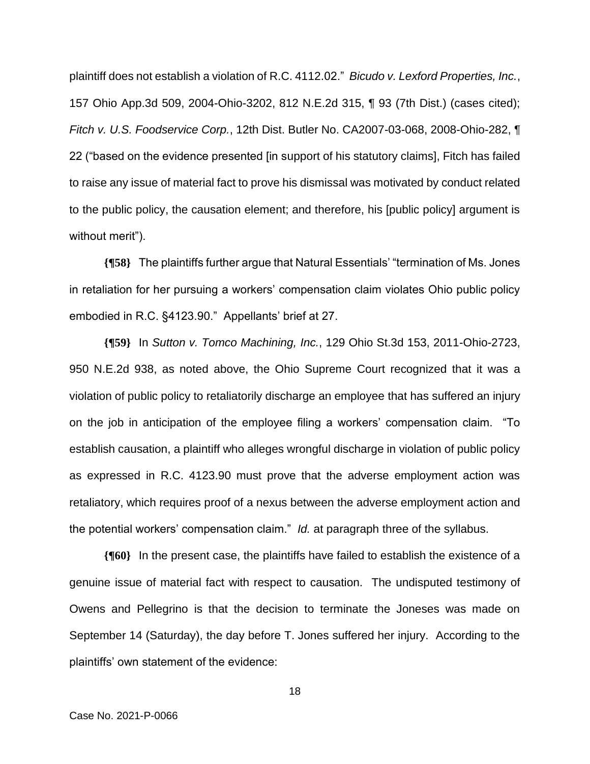plaintiff does not establish a violation of R.C. 4112.02." *Bicudo v. Lexford Properties, Inc.*, 157 Ohio App.3d 509, 2004-Ohio-3202, 812 N.E.2d 315, ¶ 93 (7th Dist.) (cases cited); *Fitch v. U.S. Foodservice Corp.*, 12th Dist. Butler No. CA2007-03-068, 2008-Ohio-282, ¶ 22 ("based on the evidence presented [in support of his statutory claims], Fitch has failed to raise any issue of material fact to prove his dismissal was motivated by conduct related to the public policy, the causation element; and therefore, his [public policy] argument is without merit").

**{¶58}** The plaintiffs further argue that Natural Essentials' "termination of Ms. Jones in retaliation for her pursuing a workers' compensation claim violates Ohio public policy embodied in R.C. §4123.90." Appellants' brief at 27.

**{¶59}** In *Sutton v. Tomco Machining, Inc.*, 129 Ohio St.3d 153, 2011-Ohio-2723, 950 N.E.2d 938, as noted above, the Ohio Supreme Court recognized that it was a violation of public policy to retaliatorily discharge an employee that has suffered an injury on the job in anticipation of the employee filing a workers' compensation claim. "To establish causation, a plaintiff who alleges wrongful discharge in violation of public policy as expressed in R.C. 4123.90 must prove that the adverse employment action was retaliatory, which requires proof of a nexus between the adverse employment action and the potential workers' compensation claim." *Id.* at paragraph three of the syllabus.

**{¶60}** In the present case, the plaintiffs have failed to establish the existence of a genuine issue of material fact with respect to causation. The undisputed testimony of Owens and Pellegrino is that the decision to terminate the Joneses was made on September 14 (Saturday), the day before T. Jones suffered her injury. According to the plaintiffs' own statement of the evidence: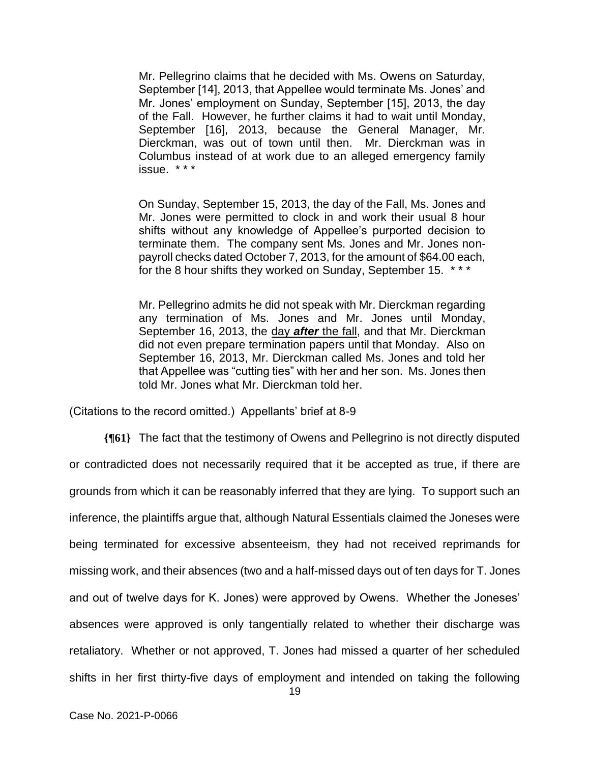Mr. Pellegrino claims that he decided with Ms. Owens on Saturday, September [14], 2013, that Appellee would terminate Ms. Jones' and Mr. Jones' employment on Sunday, September [15], 2013, the day of the Fall. However, he further claims it had to wait until Monday, September [16], 2013, because the General Manager, Mr. Dierckman, was out of town until then. Mr. Dierckman was in Columbus instead of at work due to an alleged emergency family issue. \* \* \*

On Sunday, September 15, 2013, the day of the Fall, Ms. Jones and Mr. Jones were permitted to clock in and work their usual 8 hour shifts without any knowledge of Appellee's purported decision to terminate them. The company sent Ms. Jones and Mr. Jones nonpayroll checks dated October 7, 2013, for the amount of \$64.00 each, for the 8 hour shifts they worked on Sunday, September 15. \* \* \*

Mr. Pellegrino admits he did not speak with Mr. Dierckman regarding any termination of Ms. Jones and Mr. Jones until Monday, September 16, 2013, the day *after* the fall, and that Mr. Dierckman did not even prepare termination papers until that Monday. Also on September 16, 2013, Mr. Dierckman called Ms. Jones and told her that Appellee was "cutting ties" with her and her son. Ms. Jones then told Mr. Jones what Mr. Dierckman told her.

(Citations to the record omitted.) Appellants' brief at 8-9

**{¶61}** The fact that the testimony of Owens and Pellegrino is not directly disputed or contradicted does not necessarily required that it be accepted as true, if there are grounds from which it can be reasonably inferred that they are lying. To support such an inference, the plaintiffs argue that, although Natural Essentials claimed the Joneses were being terminated for excessive absenteeism, they had not received reprimands for missing work, and their absences (two and a half-missed days out of ten days for T. Jones and out of twelve days for K. Jones) were approved by Owens. Whether the Joneses' absences were approved is only tangentially related to whether their discharge was retaliatory. Whether or not approved, T. Jones had missed a quarter of her scheduled shifts in her first thirty-five days of employment and intended on taking the following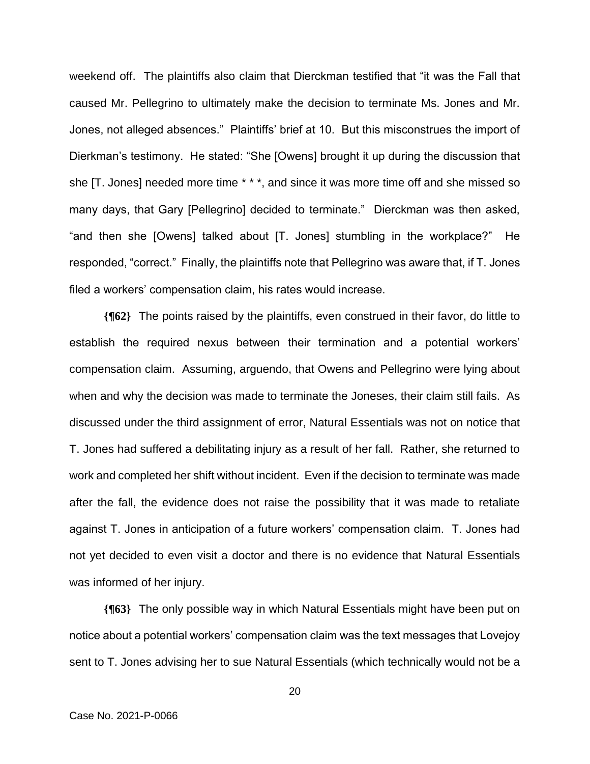weekend off. The plaintiffs also claim that Dierckman testified that "it was the Fall that caused Mr. Pellegrino to ultimately make the decision to terminate Ms. Jones and Mr. Jones, not alleged absences." Plaintiffs' brief at 10. But this misconstrues the import of Dierkman's testimony. He stated: "She [Owens] brought it up during the discussion that she [T. Jones] needed more time \* \* \*, and since it was more time off and she missed so many days, that Gary [Pellegrino] decided to terminate." Dierckman was then asked, "and then she [Owens] talked about [T. Jones] stumbling in the workplace?" He responded, "correct." Finally, the plaintiffs note that Pellegrino was aware that, if T. Jones filed a workers' compensation claim, his rates would increase.

**{¶62}** The points raised by the plaintiffs, even construed in their favor, do little to establish the required nexus between their termination and a potential workers' compensation claim. Assuming, arguendo, that Owens and Pellegrino were lying about when and why the decision was made to terminate the Joneses, their claim still fails. As discussed under the third assignment of error, Natural Essentials was not on notice that T. Jones had suffered a debilitating injury as a result of her fall. Rather, she returned to work and completed her shift without incident. Even if the decision to terminate was made after the fall, the evidence does not raise the possibility that it was made to retaliate against T. Jones in anticipation of a future workers' compensation claim. T. Jones had not yet decided to even visit a doctor and there is no evidence that Natural Essentials was informed of her injury.

**{¶63}** The only possible way in which Natural Essentials might have been put on notice about a potential workers' compensation claim was the text messages that Lovejoy sent to T. Jones advising her to sue Natural Essentials (which technically would not be a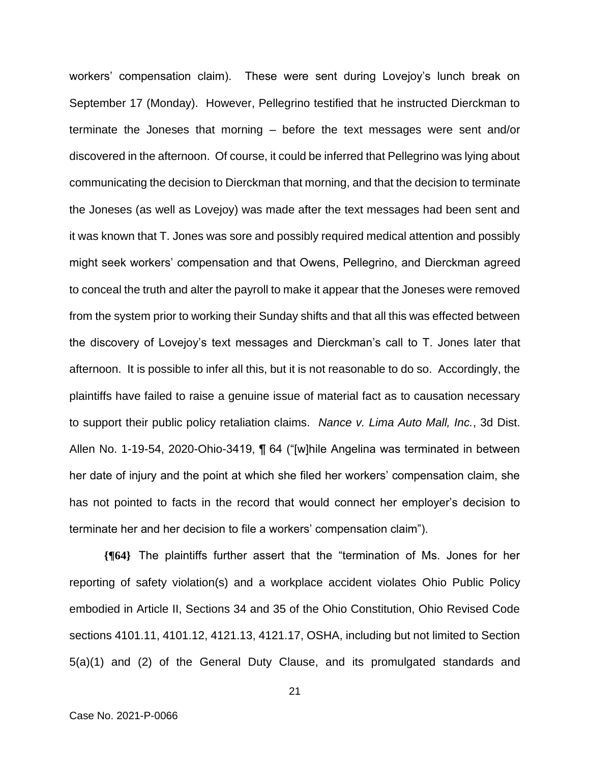workers' compensation claim). These were sent during Lovejoy's lunch break on September 17 (Monday). However, Pellegrino testified that he instructed Dierckman to terminate the Joneses that morning – before the text messages were sent and/or discovered in the afternoon. Of course, it could be inferred that Pellegrino was lying about communicating the decision to Dierckman that morning, and that the decision to terminate the Joneses (as well as Lovejoy) was made after the text messages had been sent and it was known that T. Jones was sore and possibly required medical attention and possibly might seek workers' compensation and that Owens, Pellegrino, and Dierckman agreed to conceal the truth and alter the payroll to make it appear that the Joneses were removed from the system prior to working their Sunday shifts and that all this was effected between the discovery of Lovejoy's text messages and Dierckman's call to T. Jones later that afternoon. It is possible to infer all this, but it is not reasonable to do so. Accordingly, the plaintiffs have failed to raise a genuine issue of material fact as to causation necessary to support their public policy retaliation claims. *Nance v. Lima Auto Mall, Inc.*, 3d Dist. Allen No. 1-19-54, 2020-Ohio-3419, ¶ 64 ("[w]hile Angelina was terminated in between her date of injury and the point at which she filed her workers' compensation claim, she has not pointed to facts in the record that would connect her employer's decision to terminate her and her decision to file a workers' compensation claim").

**{¶64}** The plaintiffs further assert that the "termination of Ms. Jones for her reporting of safety violation(s) and a workplace accident violates Ohio Public Policy embodied in Article II, Sections 34 and 35 of the Ohio Constitution, Ohio Revised Code sections 4101.11, 4101.12, 4121.13, 4121.17, OSHA, including but not limited to Section 5(a)(1) and (2) of the General Duty Clause, and its promulgated standards and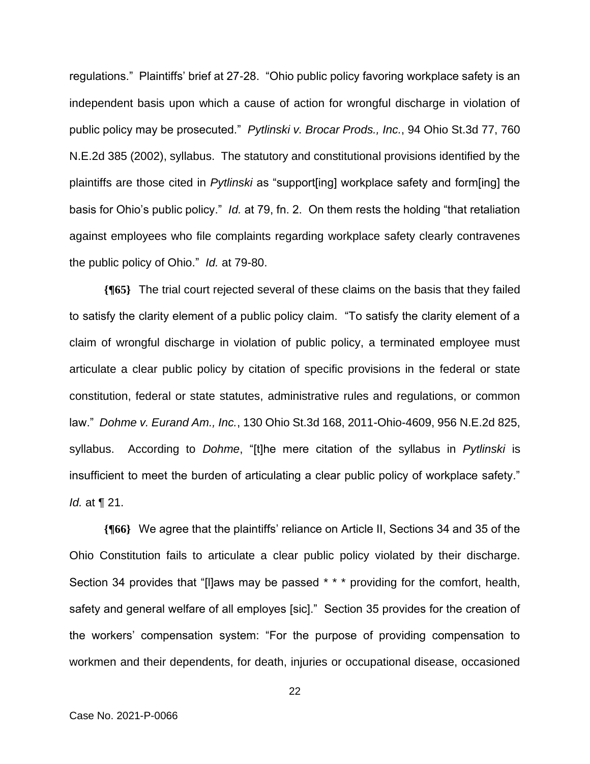regulations." Plaintiffs' brief at 27-28. "Ohio public policy favoring workplace safety is an independent basis upon which a cause of action for wrongful discharge in violation of public policy may be prosecuted." *Pytlinski v. Brocar Prods., Inc.*, 94 Ohio St.3d 77, 760 N.E.2d 385 (2002), syllabus. The statutory and constitutional provisions identified by the plaintiffs are those cited in *Pytlinski* as "support[ing] workplace safety and form[ing] the basis for Ohio's public policy." *Id.* at 79, fn. 2. On them rests the holding "that retaliation against employees who file complaints regarding workplace safety clearly contravenes the public policy of Ohio." *Id.* at 79-80.

**{¶65}** The trial court rejected several of these claims on the basis that they failed to satisfy the clarity element of a public policy claim. "To satisfy the clarity element of a claim of wrongful discharge in violation of public policy, a terminated employee must articulate a clear public policy by citation of specific provisions in the federal or state constitution, federal or state statutes, administrative rules and regulations, or common law." *Dohme v. Eurand Am., Inc.*, 130 Ohio St.3d 168, 2011-Ohio-4609, 956 N.E.2d 825, syllabus. According to *Dohme*, "[t]he mere citation of the syllabus in *Pytlinski* is insufficient to meet the burden of articulating a clear public policy of workplace safety." *Id.* at ¶ 21.

**{¶66}** We agree that the plaintiffs' reliance on Article II, Sections 34 and 35 of the Ohio Constitution fails to articulate a clear public policy violated by their discharge. Section 34 provides that "[I]aws may be passed \* \* \* providing for the comfort, health, safety and general welfare of all employes [sic]." Section 35 provides for the creation of the workers' compensation system: "For the purpose of providing compensation to workmen and their dependents, for death, injuries or occupational disease, occasioned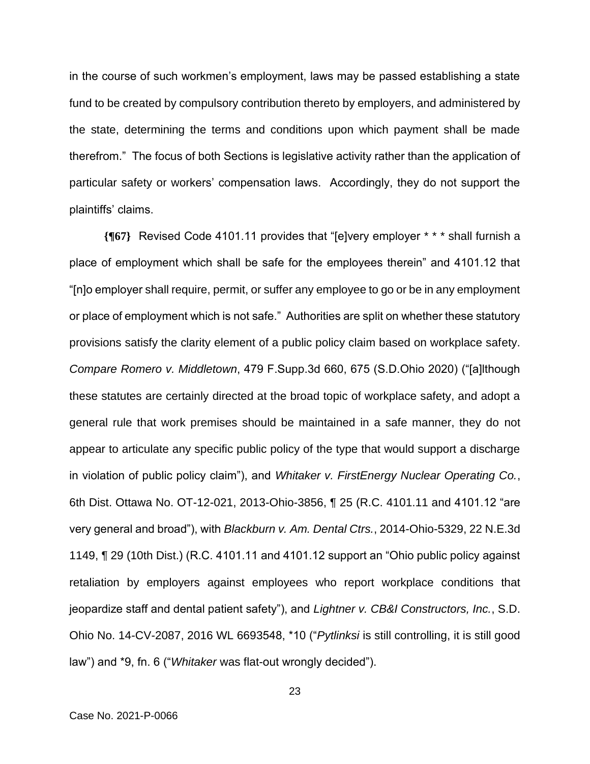in the course of such workmen's employment, laws may be passed establishing a state fund to be created by compulsory contribution thereto by employers, and administered by the state, determining the terms and conditions upon which payment shall be made therefrom." The focus of both Sections is legislative activity rather than the application of particular safety or workers' compensation laws. Accordingly, they do not support the plaintiffs' claims.

**{¶67}** Revised Code 4101.11 provides that "[e]very employer \* \* \* shall furnish a place of employment which shall be safe for the employees therein" and 4101.12 that "[n]o employer shall require, permit, or suffer any employee to go or be in any employment or place of employment which is not safe." Authorities are split on whether these statutory provisions satisfy the clarity element of a public policy claim based on workplace safety. *Compare Romero v. Middletown*, 479 F.Supp.3d 660, 675 (S.D.Ohio 2020) ("[a]lthough these statutes are certainly directed at the broad topic of workplace safety, and adopt a general rule that work premises should be maintained in a safe manner, they do not appear to articulate any specific public policy of the type that would support a discharge in violation of public policy claim"), and *Whitaker v. FirstEnergy Nuclear Operating Co.*, 6th Dist. Ottawa No. OT-12-021, 2013-Ohio-3856, ¶ 25 (R.C. 4101.11 and 4101.12 "are very general and broad"), with *Blackburn v. Am. Dental Ctrs.*, 2014-Ohio-5329, 22 N.E.3d 1149, ¶ 29 (10th Dist.) (R.C. 4101.11 and 4101.12 support an "Ohio public policy against retaliation by employers against employees who report workplace conditions that jeopardize staff and dental patient safety"), and *Lightner v. CB&I Constructors, Inc.*, S.D. Ohio No. 14-CV-2087, 2016 WL 6693548, \*10 ("*Pytlinksi* is still controlling, it is still good law") and \*9, fn. 6 ("*Whitaker* was flat-out wrongly decided").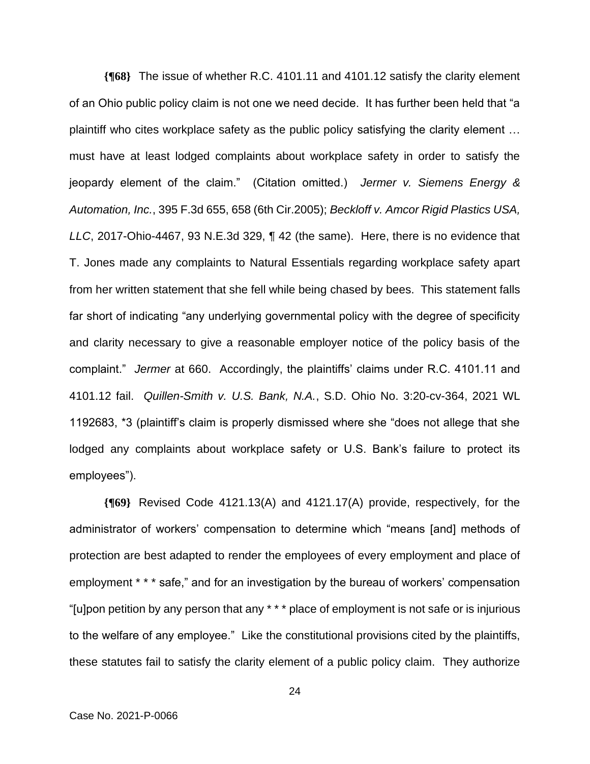**{¶68}** The issue of whether R.C. 4101.11 and 4101.12 satisfy the clarity element of an Ohio public policy claim is not one we need decide. It has further been held that "a plaintiff who cites workplace safety as the public policy satisfying the clarity element … must have at least lodged complaints about workplace safety in order to satisfy the jeopardy element of the claim." (Citation omitted.) *Jermer v. Siemens Energy & Automation, Inc.*, 395 F.3d 655, 658 (6th Cir.2005); *Beckloff v. Amcor Rigid Plastics USA, LLC*, 2017-Ohio-4467, 93 N.E.3d 329, ¶ 42 (the same). Here, there is no evidence that T. Jones made any complaints to Natural Essentials regarding workplace safety apart from her written statement that she fell while being chased by bees. This statement falls far short of indicating "any underlying governmental policy with the degree of specificity and clarity necessary to give a reasonable employer notice of the policy basis of the complaint." *Jermer* at 660. Accordingly, the plaintiffs' claims under R.C. 4101.11 and 4101.12 fail. *Quillen-Smith v. U.S. Bank, N.A.*, S.D. Ohio No. 3:20-cv-364, 2021 WL 1192683, \*3 (plaintiff's claim is properly dismissed where she "does not allege that she lodged any complaints about workplace safety or U.S. Bank's failure to protect its employees").

**{¶69}** Revised Code 4121.13(A) and 4121.17(A) provide, respectively, for the administrator of workers' compensation to determine which "means [and] methods of protection are best adapted to render the employees of every employment and place of employment \* \* \* safe," and for an investigation by the bureau of workers' compensation "[u]pon petition by any person that any \* \* \* place of employment is not safe or is injurious to the welfare of any employee." Like the constitutional provisions cited by the plaintiffs, these statutes fail to satisfy the clarity element of a public policy claim. They authorize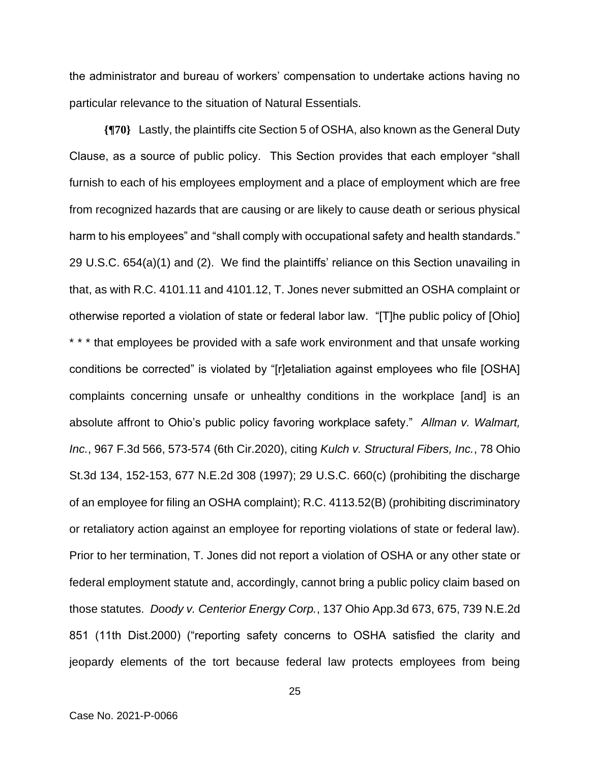the administrator and bureau of workers' compensation to undertake actions having no particular relevance to the situation of Natural Essentials.

**{¶70}** Lastly, the plaintiffs cite Section 5 of OSHA, also known as the General Duty Clause, as a source of public policy. This Section provides that each employer "shall furnish to each of his employees employment and a place of employment which are free from recognized hazards that are causing or are likely to cause death or serious physical harm to his employees" and "shall comply with occupational safety and health standards." 29 U.S.C. 654(a)(1) and (2). We find the plaintiffs' reliance on this Section unavailing in that, as with R.C. 4101.11 and 4101.12, T. Jones never submitted an OSHA complaint or otherwise reported a violation of state or federal labor law. "[T]he public policy of [Ohio] \* \* \* that employees be provided with a safe work environment and that unsafe working conditions be corrected" is violated by "[r]etaliation against employees who file [OSHA] complaints concerning unsafe or unhealthy conditions in the workplace [and] is an absolute affront to Ohio's public policy favoring workplace safety." *Allman v. Walmart, Inc.*, 967 F.3d 566, 573-574 (6th Cir.2020), citing *Kulch v. Structural Fibers, Inc.*, 78 Ohio St.3d 134, 152-153, 677 N.E.2d 308 (1997); 29 U.S.C. 660(c) (prohibiting the discharge of an employee for filing an OSHA complaint); R.C. 4113.52(B) (prohibiting discriminatory or retaliatory action against an employee for reporting violations of state or federal law). Prior to her termination, T. Jones did not report a violation of OSHA or any other state or federal employment statute and, accordingly, cannot bring a public policy claim based on those statutes. *Doody v. Centerior Energy Corp.*, 137 Ohio App.3d 673, 675, 739 N.E.2d 851 (11th Dist.2000) ("reporting safety concerns to OSHA satisfied the clarity and jeopardy elements of the tort because federal law protects employees from being